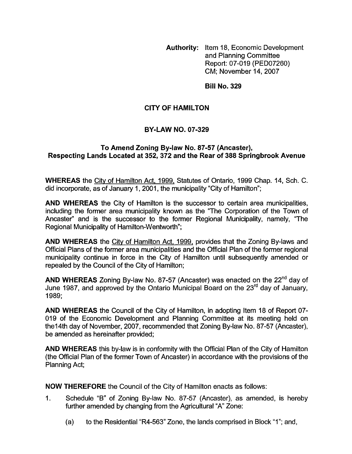**Authority:** Item 18, Economic Development and Planning Committee Report: 07-019 (PED07260) CM; November 14,2007

**Bill No. 329** 

## **CITY OF HAMILTON**

## **BY-LAW NO. 07-329**

## **To Amend Zoning By-law No. 87-57 (Ancaster), Respecting Lands Located at 352,372 and the Rear of 388 Springbrook Avenue**

**WHEREAS** the City of Hamilton Act, 1999, Statutes of Ontario, 1999 Chap. 14, Sch. C. did incorporate, as of January 1, 2001, the municipality "City of Hamilton";

**AND WHEREAS** the City of Hamilton is the successor to certain area municipalities, including the former area municipality known as the "The Corporation of the Town of Ancaster" and is the successor to the former Regional Municipality, namely, "The Regional Municipality of Hamilton-Wentworth";

**AND WHEREAS** the City of Hamilton Act, 1999, provides that the Zoning By-laws and Official Plans of the former area municipalities and the Official Plan of the former regional municipality continue in force in the City of Hamilton until subsequently amended or repealed by the Council of the City of Hamilton;

**AND WHEREAS** Zoning By-law No. 87-57 (Ancaster) was enacted on the 22"d day of June 1987, and approved by the Ontario Municipal Board on the 23<sup>rd</sup> day of January. 1989;

**AND WHEREAS** the Council of the City of Hamilton, in adopting Item 18 of Report 07- 019 of the Economic Development and Planning Committee at its meeting held on the 14th day of November, 2007, recommended that Zoning By-law No. 87-57 (Ancaster), be amended as hereinafter provided;

**AND WHEREAS** this by-law is in conformity with the Official Plan of the City of Hamilton (the Official Plan of the former Town of Ancaster) in accordance with the provisions of the Planning Act;

**NOW THEREFORE** the Council of the City of Hamilton enacts as follows:

- 1. Schedule "B" of Zoning By-law No. 87-57 (Ancaster), as amended, is hereby further amended by changing from the Agricultural "A" Zone:
	- (a) to the Residential "R4-563" Zone, the lands comprised in Block "1"; and,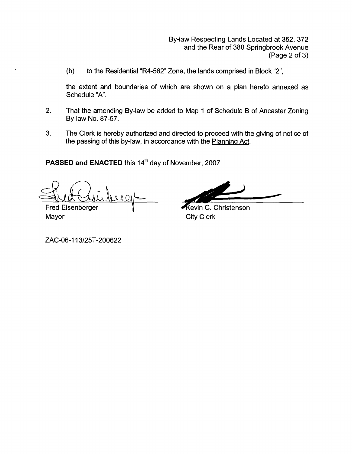By-law Respecting Lands Located at 352, 372 and the Rear of 388 Springbrook Avenue (Page 2 *of* 3)

(b) to the Residential "R4-562" Zone, the lands comprised in Block "2",

the extent and boundaries of which are shown on a plan hereto annexed as Schedule "A'.

- 2. That the amending By-law be added to Map 1 *of* Schedule B of Ancaster Zoning By-law No. 87-57.
- 3. The Clerk is hereby authorized and directed to proceed with the giving of notice of the passing of this by-law, in accordance with the Planning Act.

**PASSED and ENACTED** this 14\* day of November, 2007

 $\Omega$ 

**Fred Eisenberger** Mayor **City Clerk** 

Kevin C. Christenson

ZAC-06-113/25T-200622